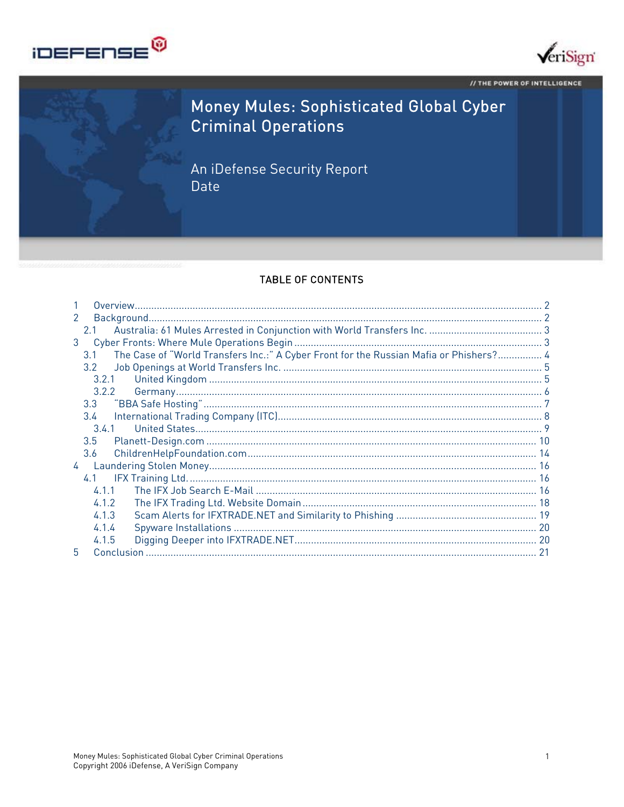



// THE POWER OF INTELLIGENCE

# Money Mules: Sophisticated Global Cyber **Criminal Operations**

An iDefense Security Report Date

#### **TABLE OF CONTENTS**

| $\mathcal{P}$ |                                                                                               |  |
|---------------|-----------------------------------------------------------------------------------------------|--|
|               | 2.1                                                                                           |  |
| 3             |                                                                                               |  |
|               | The Case of "World Transfers Inc.:" A Cyber Front for the Russian Mafia or Phishers? 4<br>3.1 |  |
|               | $3.2^{\circ}$                                                                                 |  |
|               | 3.2.1                                                                                         |  |
|               | 3.2.2                                                                                         |  |
|               | 3.3                                                                                           |  |
|               | $3.4^{\circ}$                                                                                 |  |
|               | 3.4.1                                                                                         |  |
|               | 3.5                                                                                           |  |
|               | 3.6                                                                                           |  |
| 4             |                                                                                               |  |
|               | 4.1                                                                                           |  |
|               | 4.1.1                                                                                         |  |
|               | 4.1.2                                                                                         |  |
|               | 4.1.3                                                                                         |  |
|               | 4.1.4                                                                                         |  |
|               | 4.1.5                                                                                         |  |
| 5             |                                                                                               |  |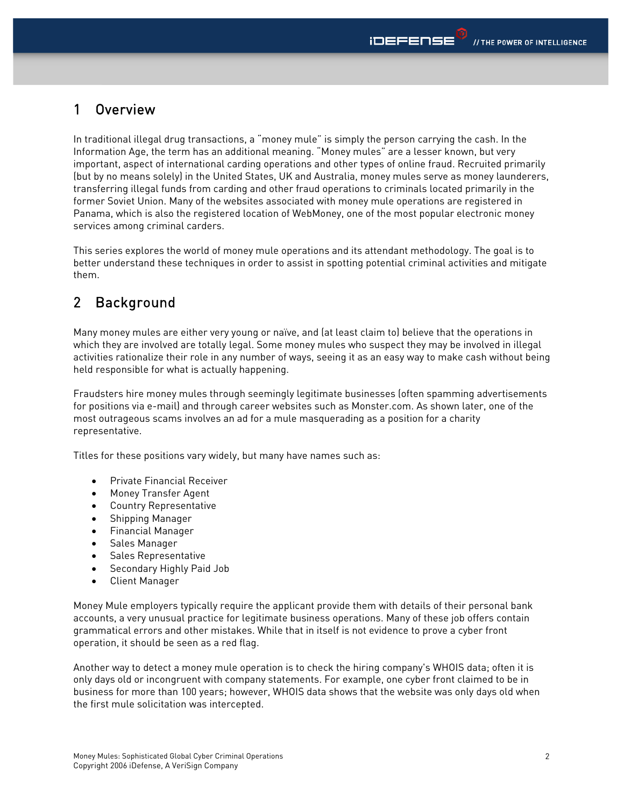## 1 Overview

In traditional illegal drug transactions, a "money mule" is simply the person carrying the cash. In the Information Age, the term has an additional meaning. "Money mules" are a lesser known, but very important, aspect of international carding operations and other types of online fraud. Recruited primarily (but by no means solely) in the United States, UK and Australia, money mules serve as money launderers, transferring illegal funds from carding and other fraud operations to criminals located primarily in the former Soviet Union. Many of the websites associated with money mule operations are registered in Panama, which is also the registered location of WebMoney, one of the most popular electronic money services among criminal carders.

This series explores the world of money mule operations and its attendant methodology. The goal is to better understand these techniques in order to assist in spotting potential criminal activities and mitigate them.

## 2 Background

Many money mules are either very young or naïve, and (at least claim to) believe that the operations in which they are involved are totally legal. Some money mules who suspect they may be involved in illegal activities rationalize their role in any number of ways, seeing it as an easy way to make cash without being held responsible for what is actually happening.

Fraudsters hire money mules through seemingly legitimate businesses (often spamming advertisements for positions via e-mail) and through career websites such as Monster.com. As shown later, one of the most outrageous scams involves an ad for a mule masquerading as a position for a charity representative.

Titles for these positions vary widely, but many have names such as:

- Private Financial Receiver
- Money Transfer Agent
- Country Representative
- Shipping Manager
- Financial Manager
- Sales Manager
- Sales Representative
- Secondary Highly Paid Job
- Client Manager

Money Mule employers typically require the applicant provide them with details of their personal bank accounts, a very unusual practice for legitimate business operations. Many of these job offers contain grammatical errors and other mistakes. While that in itself is not evidence to prove a cyber front operation, it should be seen as a red flag.

Another way to detect a money mule operation is to check the hiring company's WHOIS data; often it is only days old or incongruent with company statements. For example, one cyber front claimed to be in business for more than 100 years; however, WHOIS data shows that the website was only days old when the first mule solicitation was intercepted.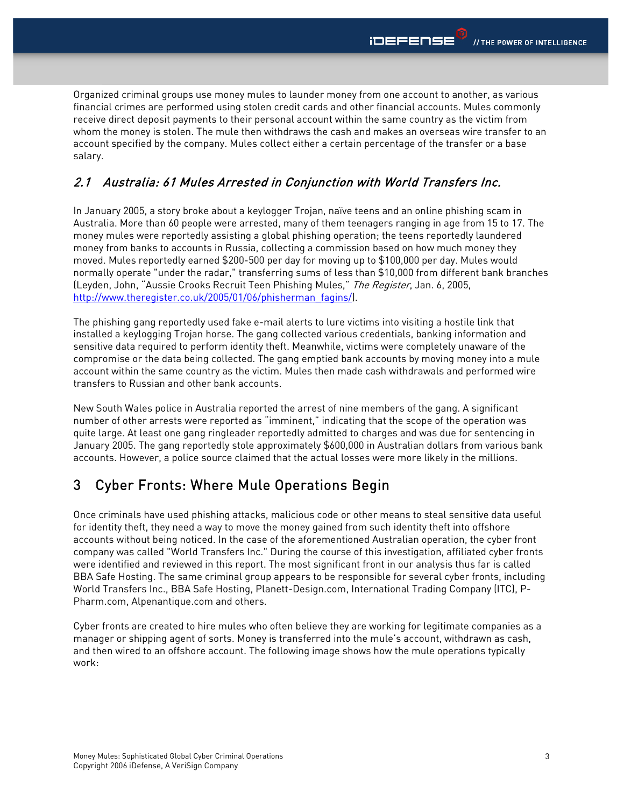Organized criminal groups use money mules to launder money from one account to another, as various financial crimes are performed using stolen credit cards and other financial accounts. Mules commonly receive direct deposit payments to their personal account within the same country as the victim from whom the money is stolen. The mule then withdraws the cash and makes an overseas wire transfer to an account specified by the company. Mules collect either a certain percentage of the transfer or a base salary.

### 2.1 Australia: 61 Mules Arrested in Conjunction with World Transfers Inc.

In January 2005, a story broke about a keylogger Trojan, naïve teens and an online phishing scam in Australia. More than 60 people were arrested, many of them teenagers ranging in age from 15 to 17. The money mules were reportedly assisting a global phishing operation; the teens reportedly laundered money from banks to accounts in Russia, collecting a commission based on how much money they moved. Mules reportedly earned \$200-500 per day for moving up to \$100,000 per day. Mules would normally operate "under the radar," transferring sums of less than \$10,000 from different bank branches (Leyden, John, "Aussie Crooks Recruit Teen Phishing Mules," The Register, Jan. 6, 2005, http://www.theregister.co.uk/2005/01/06/phisherman\_faqins/).

The phishing gang reportedly used fake e-mail alerts to lure victims into visiting a hostile link that installed a keylogging Trojan horse. The gang collected various credentials, banking information and sensitive data required to perform identity theft. Meanwhile, victims were completely unaware of the compromise or the data being collected. The gang emptied bank accounts by moving money into a mule account within the same country as the victim. Mules then made cash withdrawals and performed wire transfers to Russian and other bank accounts.

New South Wales police in Australia reported the arrest of nine members of the gang. A significant number of other arrests were reported as "imminent," indicating that the scope of the operation was quite large. At least one gang ringleader reportedly admitted to charges and was due for sentencing in January 2005. The gang reportedly stole approximately \$600,000 in Australian dollars from various bank accounts. However, a police source claimed that the actual losses were more likely in the millions.

## 3 Cyber Fronts: Where Mule Operations Begin

Once criminals have used phishing attacks, malicious code or other means to steal sensitive data useful for identity theft, they need a way to move the money gained from such identity theft into offshore accounts without being noticed. In the case of the aforementioned Australian operation, the cyber front company was called "World Transfers Inc." During the course of this investigation, affiliated cyber fronts were identified and reviewed in this report. The most significant front in our analysis thus far is called BBA Safe Hosting. The same criminal group appears to be responsible for several cyber fronts, including World Transfers Inc., BBA Safe Hosting, Planett-Design.com, International Trading Company (ITC), P-Pharm.com, Alpenantique.com and others.

Cyber fronts are created to hire mules who often believe they are working for legitimate companies as a manager or shipping agent of sorts. Money is transferred into the mule's account, withdrawn as cash, and then wired to an offshore account. The following image shows how the mule operations typically work: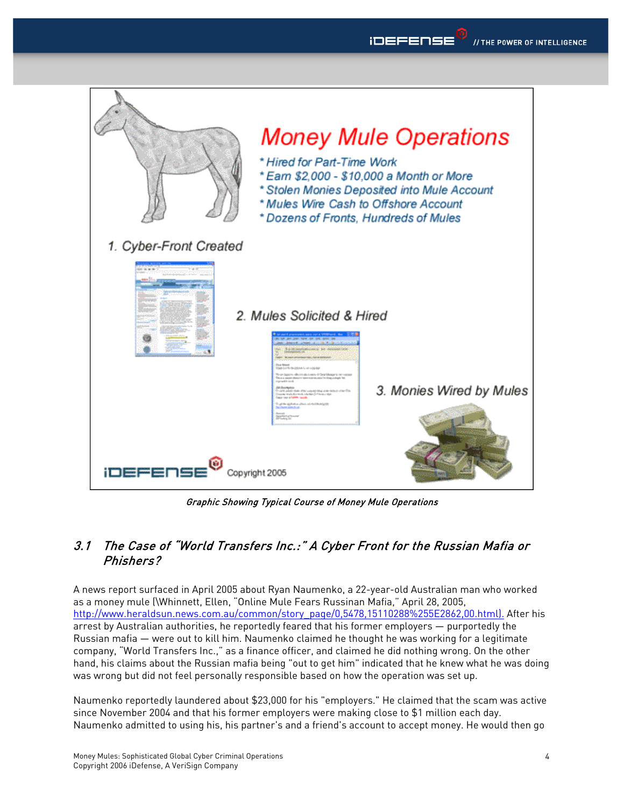



Graphic Showing Typical Course of Money Mule Operations

### 3.1 The Case of "World Transfers Inc.:" A Cyber Front for the Russian Mafia or Phishers?

A news report surfaced in April 2005 about Ryan Naumenko, a 22-year-old Australian man who worked as a money mule (\Whinnett, Ellen, "Online Mule Fears Russinan Mafia," April 28, 2005, http://www.heraldsun.news.com.au/common/story\_page/0,5478,15110288%255E2862,00.html). After his arrest by Australian authorities, he reportedly feared that his former employers — purportedly the Russian mafia — were out to kill him. Naumenko claimed he thought he was working for a legitimate company, "World Transfers Inc.," as a finance officer, and claimed he did nothing wrong. On the other hand, his claims about the Russian mafia being "out to get him" indicated that he knew what he was doing was wrong but did not feel personally responsible based on how the operation was set up.

Naumenko reportedly laundered about \$23,000 for his "employers." He claimed that the scam was active since November 2004 and that his former employers were making close to \$1 million each day. Naumenko admitted to using his, his partner's and a friend's account to accept money. He would then go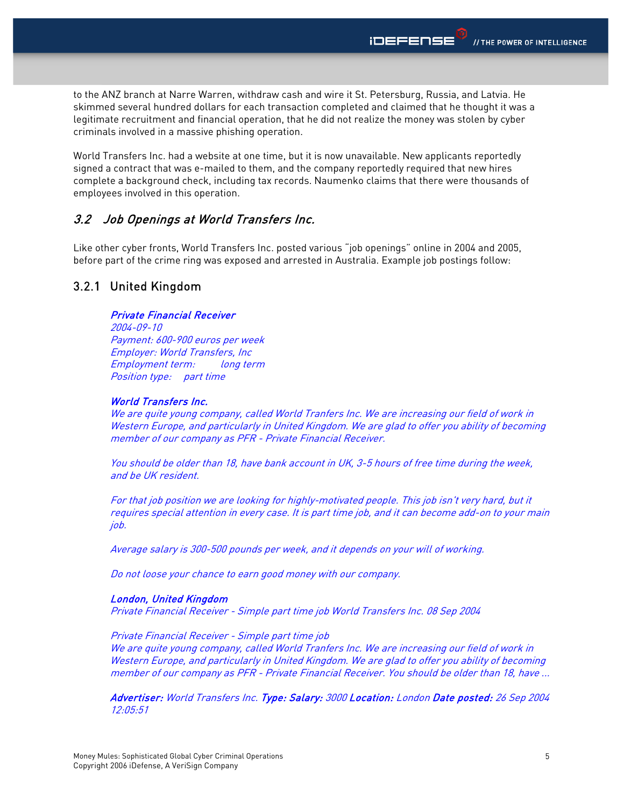to the ANZ branch at Narre Warren, withdraw cash and wire it St. Petersburg, Russia, and Latvia. He skimmed several hundred dollars for each transaction completed and claimed that he thought it was a legitimate recruitment and financial operation, that he did not realize the money was stolen by cyber criminals involved in a massive phishing operation.

World Transfers Inc. had a website at one time, but it is now unavailable. New applicants reportedly signed a contract that was e-mailed to them, and the company reportedly required that new hires complete a background check, including tax records. Naumenko claims that there were thousands of employees involved in this operation.

### 3.2 Job Openings at World Transfers Inc.

Like other cyber fronts, World Transfers Inc. posted various "job openings" online in 2004 and 2005, before part of the crime ring was exposed and arrested in Australia. Example job postings follow:

### 3.2.1 United Kingdom

#### Private Financial Receiver

2004-09-10 Payment: 600-900 euros per week Employer: World Transfers, Inc Employment term: long term Position type: part time

#### World Transfers Inc.

We are quite young company, called World Tranfers Inc. We are increasing our field of work in Western Europe, and particularly in United Kingdom. We are glad to offer you ability of becoming member of our company as PFR - Private Financial Receiver.

You should be older than 18, have bank account in UK, 3-5 hours of free time during the week, and be UK resident.

For that job position we are looking for highly-motivated people. This job isn't very hard, but it requires special attention in every case. It is part time job, and it can become add-on to your main job.

Average salary is 300-500 pounds per week, and it depends on your will of working.

Do not loose your chance to earn good money with our company.

#### London, United Kingdom

Private Financial Receiver - Simple part time job World Transfers Inc. 08 Sep 2004

Private Financial Receiver - Simple part time job We are quite young company, called World Tranfers Inc. We are increasing our field of work in Western Europe, and particularly in United Kingdom. We are glad to offer you ability of becoming member of our company as PFR - Private Financial Receiver. You should be older than 18, have ...

Advertiser: World Transfers Inc. Type: Salary: 3000 Location: London Date posted: 26 Sep 2004 12:05:51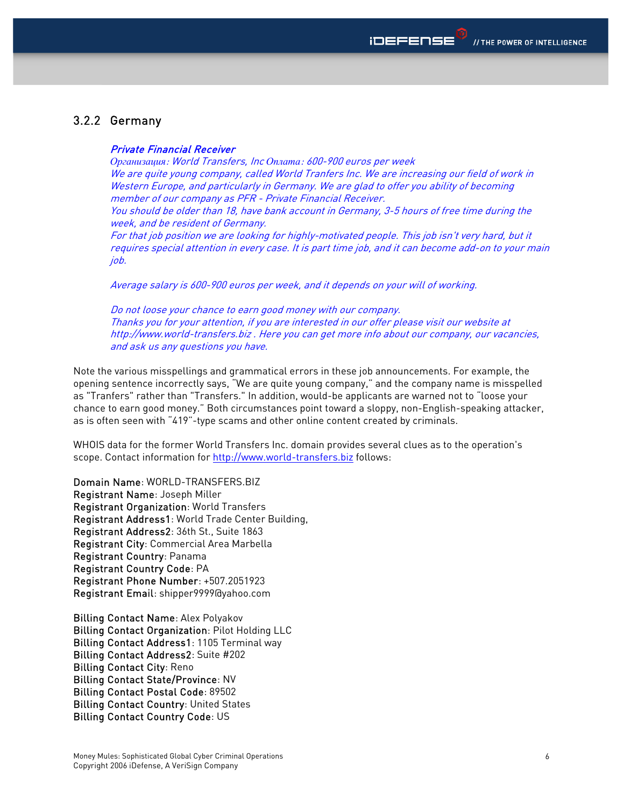### 3.2.2 Germany

#### Private Financial Receiver

*Организация*: World Transfers, Inc *Оплата*: 600-900 euros per week We are quite young company, called World Tranfers Inc. We are increasing our field of work in Western Europe, and particularly in Germany. We are glad to offer you ability of becoming member of our company as PFR - Private Financial Receiver.

You should be older than 18, have bank account in Germany, 3-5 hours of free time during the week, and be resident of Germany.

For that job position we are looking for highly-motivated people. This job isn't very hard, but it requires special attention in every case. It is part time job, and it can become add-on to your main job.

Average salary is 600-900 euros per week, and it depends on your will of working.

Do not loose your chance to earn good money with our company. Thanks you for your attention, if you are interested in our offer please visit our website at http://www.world-transfers.biz . Here you can get more info about our company, our vacancies, and ask us any questions you have.

Note the various misspellings and grammatical errors in these job announcements. For example, the opening sentence incorrectly says, "We are quite young company," and the company name is misspelled as "Tranfers" rather than "Transfers." In addition, would-be applicants are warned not to "loose your chance to earn good money." Both circumstances point toward a sloppy, non-English-speaking attacker, as is often seen with "419"-type scams and other online content created by criminals.

WHOIS data for the former World Transfers Inc. domain provides several clues as to the operation's scope. Contact information for http://www.world-transfers.biz follows:

Domain Name: WORLD-TRANSFERS.BIZ Registrant Name: Joseph Miller Registrant Organization: World Transfers Registrant Address1: World Trade Center Building, Registrant Address2: 36th St., Suite 1863 Registrant City: Commercial Area Marbella Registrant Country: Panama Registrant Country Code: PA Registrant Phone Number: +507.2051923 Registrant Email: shipper9999@yahoo.com

Billing Contact Name: Alex Polyakov Billing Contact Organization: Pilot Holding LLC Billing Contact Address1: 1105 Terminal way Billing Contact Address2: Suite #202 Billing Contact City: Reno Billing Contact State/Province: NV Billing Contact Postal Code: 89502 Billing Contact Country: United States Billing Contact Country Code: US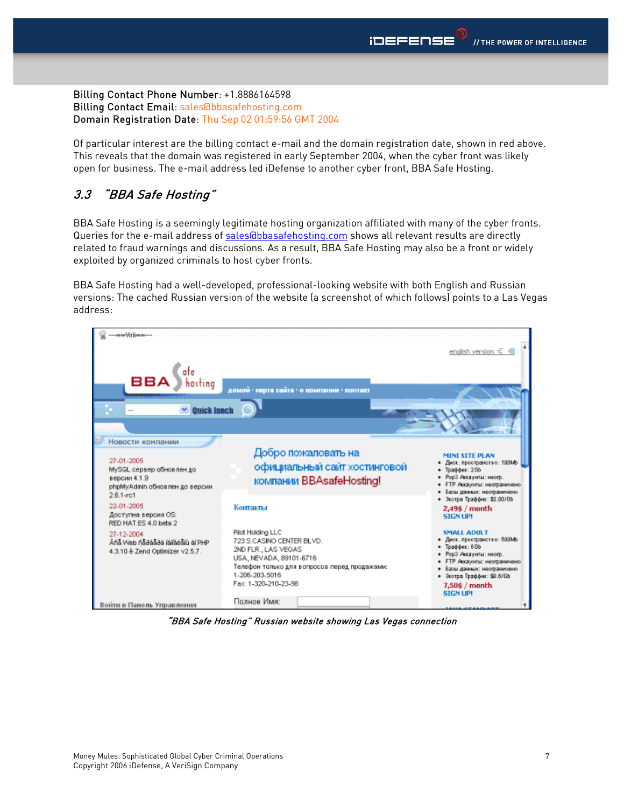#### Billing Contact Phone Number: +1.8886164598 Billing Contact Email: sales@bbasafehosting.com Domain Registration Date: Thu Sep 02 01:59:56 GMT 2004

Of particular interest are the billing contact e-mail and the domain registration date, shown in red above. This reveals that the domain was registered in early September 2004, when the cyber front was likely open for business. The e-mail address led iDefense to another cyber front, BBA Safe Hosting.

## 3.3 "BBA Safe Hosting"

BBA Safe Hosting is a seemingly legitimate hosting organization affiliated with many of the cyber fronts. Queries for the e-mail address of sales@bbasafehosting.com shows all relevant results are directly related to fraud warnings and discussions. As a result, BBA Safe Hosting may also be a front or widely exploited by organized criminals to host cyber fronts.

BBA Safe Hosting had a well-developed, professional-looking website with both English and Russian versions: The cached Russian version of the website (a screenshot of which follows) points to a Las Vegas address:



"BBA Safe Hosting" Russian website showing Las Vegas connection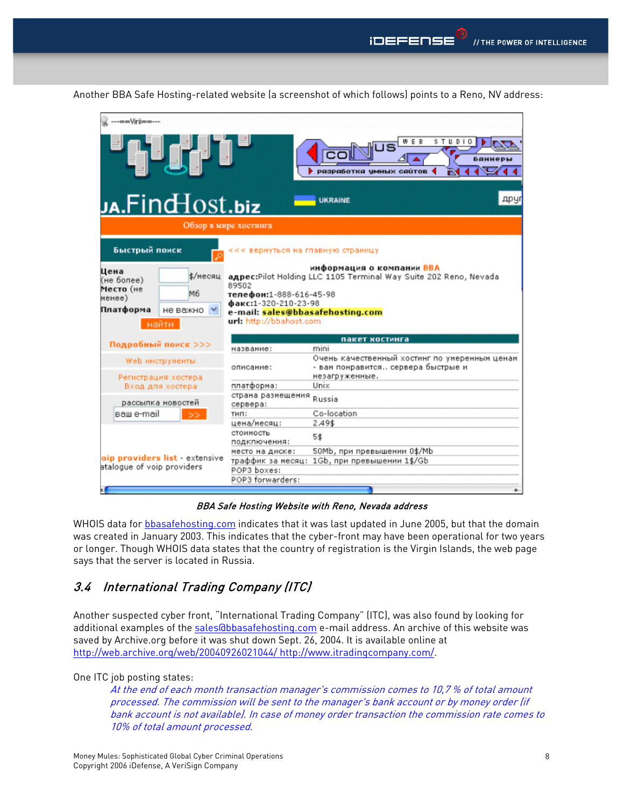| ---==Vrij==---                                                                                                                                                                                                                                                                                                            |                                                      |                                                                                                       |  |  |  |  |  |
|---------------------------------------------------------------------------------------------------------------------------------------------------------------------------------------------------------------------------------------------------------------------------------------------------------------------------|------------------------------------------------------|-------------------------------------------------------------------------------------------------------|--|--|--|--|--|
| qu <sub>st</sub> ro                                                                                                                                                                                                                                                                                                       |                                                      | STUDIO<br>E B<br>баннер<br>РАЗРАБОТКА ЧМНЫХ САЙТОВ<br>гv<br>друг<br><b>UKRAINE</b>                    |  |  |  |  |  |
| رها،Find $\rm Host.biz$                                                                                                                                                                                                                                                                                                   |                                                      |                                                                                                       |  |  |  |  |  |
|                                                                                                                                                                                                                                                                                                                           | Обзор в мире хостинга                                |                                                                                                       |  |  |  |  |  |
| Быстрый поиск                                                                                                                                                                                                                                                                                                             | <<< вернуться на главную страницу                    |                                                                                                       |  |  |  |  |  |
| информация о компании BBA<br>Цена<br>\$/месяц<br>agpec:Pilot Holding LLC 1105 Terminal Way Suite 202 Reno, Nevada<br>(не более)<br>89502<br>Место (не<br>M6<br>телефон:1-888-616-45-98<br>менее)<br>факс:1-320-210-23-98<br>Платформа<br>не важно<br>e-mail: sales@bbasafehosting.com<br>url: http://bbahost.com<br>найти |                                                      |                                                                                                       |  |  |  |  |  |
| Подробный поиск >>>                                                                                                                                                                                                                                                                                                       |                                                      | пакет костинга                                                                                        |  |  |  |  |  |
|                                                                                                                                                                                                                                                                                                                           | название:                                            | mini                                                                                                  |  |  |  |  |  |
| Web инструиенты<br>Регистрация хостера                                                                                                                                                                                                                                                                                    | описание:                                            | Очень качественный хостинг по умеренным ценам<br>- вам понравится сервера быстрые и<br>незагруженные. |  |  |  |  |  |
| Вход для хостера                                                                                                                                                                                                                                                                                                          | платформа:                                           | Unix                                                                                                  |  |  |  |  |  |
| рассылка новостей                                                                                                                                                                                                                                                                                                         | страна размещения<br>сервера:                        | Russia                                                                                                |  |  |  |  |  |
| ваш e-mail                                                                                                                                                                                                                                                                                                                | тип:                                                 | Co-location                                                                                           |  |  |  |  |  |
|                                                                                                                                                                                                                                                                                                                           | цена/месяц:                                          | 2.49\$                                                                                                |  |  |  |  |  |
|                                                                                                                                                                                                                                                                                                                           | стоимость<br>подключения:                            | 5\$                                                                                                   |  |  |  |  |  |
| oip providers list - extensive                                                                                                                                                                                                                                                                                            | место на диске:                                      | 50Mb, при превышении 0\$/Mb                                                                           |  |  |  |  |  |
| atalogue of voip providers                                                                                                                                                                                                                                                                                                | траффик за месяц:<br>POP3 boxes:<br>POP3 forwarders: | 1Gb, при превышении 1\$/Gb                                                                            |  |  |  |  |  |
|                                                                                                                                                                                                                                                                                                                           |                                                      |                                                                                                       |  |  |  |  |  |
|                                                                                                                                                                                                                                                                                                                           |                                                      |                                                                                                       |  |  |  |  |  |

Another BBA Safe Hosting-related website (a screenshot of which follows) points to a Reno, NV address:

BBA Safe Hosting Website with Reno, Nevada address

WHOIS data for bbasafehosting.com indicates that it was last updated in June 2005, but that the domain was created in January 2003. This indicates that the cyber-front may have been operational for two years or longer. Though WHOIS data states that the country of registration is the Virgin Islands, the web page says that the server is located in Russia.

### 3.4 International Trading Company (ITC)

Another suspected cyber front, "International Trading Company" (ITC), was also found by looking for additional examples of the sales@bbasafehosting.com e-mail address. An archive of this website was saved by Archive.org before it was shut down Sept. 26, 2004. It is available online at http://web.archive.org/web/20040926021044/ http://www.itradingcompany.com/.

One ITC job posting states:

At the end of each month transaction manager's commission comes to 10,7 % of total amount processed. The commission will be sent to the manager's bank account or by money order (if bank account is not available). In case of money order transaction the commission rate comes to 10% of total amount processed.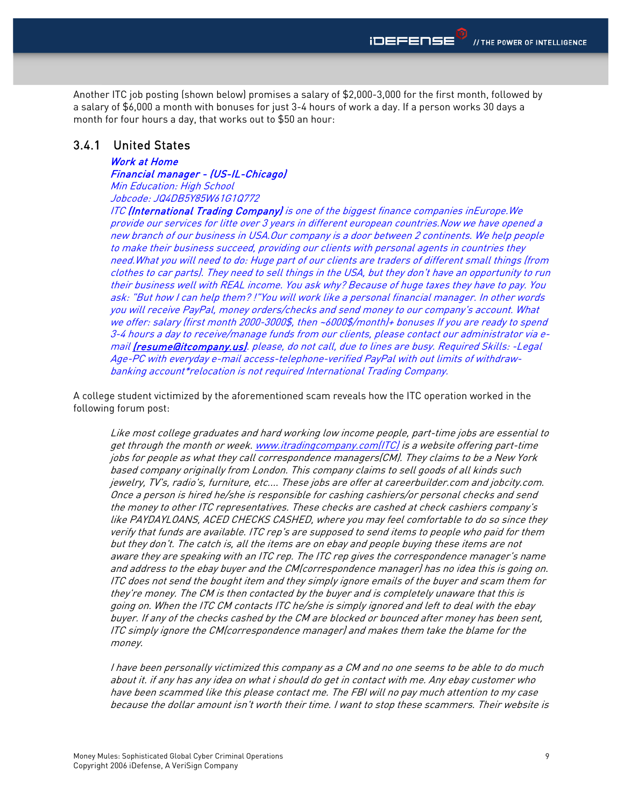Another ITC job posting (shown below) promises a salary of \$2,000-3,000 for the first month, followed by a salary of \$6,000 a month with bonuses for just 3-4 hours of work a day. If a person works 30 days a month for four hours a day, that works out to \$50 an hour:

#### 3.4.1 United States

Work at Home Financial manager - (US-IL-Chicago) Min Education: High School

Jobcode: JQ4DB5Y85W61G1Q772

ITC (International Trading Company) is one of the biggest finance companies inEurope. We provide our services for litte over 3 years in different european countries.Now we have opened a new branch of our business in USA.Our company is a door between 2 continents. We help people to make their business succeed, providing our clients with personal agents in countries they need.What you will need to do: Huge part of our clients are traders of different small things (from clothes to car parts). They need to sell things in the USA, but they don't have an opportunity to run their business well with REAL income. You ask why? Because of huge taxes they have to pay. You ask: "But how I can help them? !"You will work like a personal financial manager. In other words you will receive PayPal, money orders/checks and send money to our company's account. What we offer: salary (first month 2000-3000\$, then ~6000\$/month)+ bonuses If you are ready to spend 3-4 hours a day to receive/manage funds from our clients, please contact our administrator via email (resume ait company.us). please, do not call, due to lines are busy. Required Skills: -Legal Age-PC with everyday e-mail access-telephone-verified PayPal with out limits of withdrawbanking account\*relocation is not required International Trading Company.

A college student victimized by the aforementioned scam reveals how the ITC operation worked in the following forum post:

Like most college graduates and hard working low income people, part-time jobs are essential to get through the month or week. www.itradingcompany.com(ITC) is a website offering part-time jobs for people as what they call correspondence managers(CM). They claims to be a New York based company originally from London. This company claims to sell goods of all kinds such jewelry, TV's, radio's, furniture, etc.... These jobs are offer at careerbuilder.com and jobcity.com. Once a person is hired he/she is responsible for cashing cashiers/or personal checks and send the money to other ITC representatives. These checks are cashed at check cashiers company's like PAYDAYLOANS, ACED CHECKS CASHED, where you may feel comfortable to do so since they verify that funds are available. ITC rep's are supposed to send items to people who paid for them but they don't. The catch is, all the items are on ebay and people buying these items are not aware they are speaking with an ITC rep. The ITC rep gives the correspondence manager's name and address to the ebay buyer and the CM(correspondence manager) has no idea this is going on. ITC does not send the bought item and they simply ignore emails of the buyer and scam them for they're money. The CM is then contacted by the buyer and is completely unaware that this is going on. When the ITC CM contacts ITC he/she is simply ignored and left to deal with the ebay buyer. If any of the checks cashed by the CM are blocked or bounced after money has been sent, ITC simply ignore the CM(correspondence manager) and makes them take the blame for the money.

I have been personally victimized this company as a CM and no one seems to be able to do much about it. if any has any idea on what i should do get in contact with me. Any ebay customer who have been scammed like this please contact me. The FBI will no pay much attention to my case because the dollar amount isn't worth their time. I want to stop these scammers. Their website is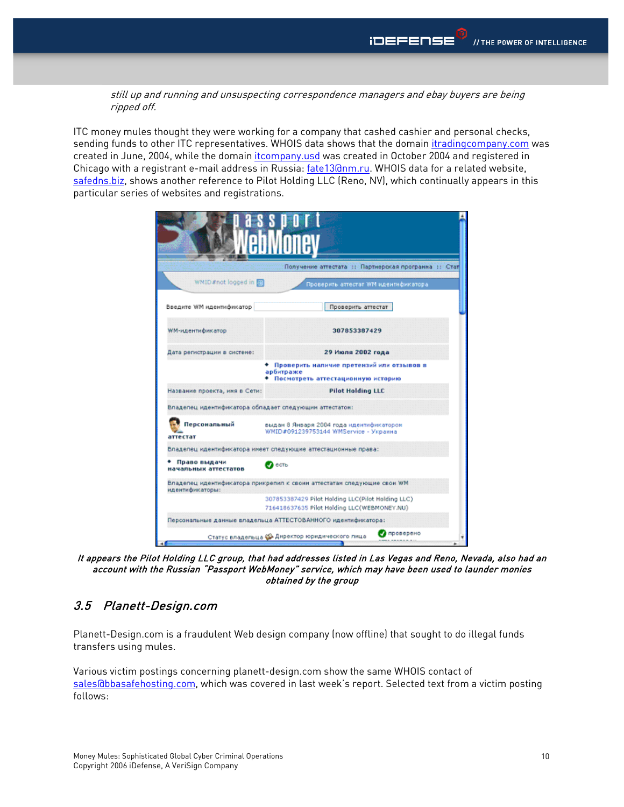still up and running and unsuspecting correspondence managers and ebay buyers are being ripped off.

ITC money mules thought they were working for a company that cashed cashier and personal checks, sending funds to other ITC representatives. WHOIS data shows that the domain itradingcompany.com was created in June, 2004, while the domain itcompany.usd was created in October 2004 and registered in Chicago with a registrant e-mail address in Russia: fate13@nm.ru. WHOIS data for a related website, safedns.biz, shows another reference to Pilot Holding LLC (Reno, NV), which continually appears in this particular series of websites and registrations.

| Получение аттестата :: Партнерская программа :: Стат                                                                                        |                                                                                               |  |  |  |                                                                                                  |  |
|---------------------------------------------------------------------------------------------------------------------------------------------|-----------------------------------------------------------------------------------------------|--|--|--|--------------------------------------------------------------------------------------------------|--|
| WMID #not logged in [5]<br>Проверить аттестат WM идентификатора                                                                             |                                                                                               |  |  |  |                                                                                                  |  |
| Введите WM идентификатор                                                                                                                    | Проверить аттестат                                                                            |  |  |  |                                                                                                  |  |
| <b>WM-идентификатор</b>                                                                                                                     | 307853387429                                                                                  |  |  |  |                                                                                                  |  |
| Дата регистрации в системе:                                                                                                                 | 29 Июля 2002 года                                                                             |  |  |  |                                                                                                  |  |
|                                                                                                                                             | Проверить наличие претензий или отзывов в<br>арбитраже<br>• Посмотреть аттестационную историю |  |  |  |                                                                                                  |  |
| Название проекта, имя в Сети:                                                                                                               | <b>Pilot Holding LLC</b>                                                                      |  |  |  |                                                                                                  |  |
| Владелец идентификатора обладает следующий аттестатом:                                                                                      |                                                                                               |  |  |  |                                                                                                  |  |
| Персональный<br>выдан 8 Января 2004 года идентификатором<br>WMID#091239753144 WMService - Украина<br>аттестат                               |                                                                                               |  |  |  |                                                                                                  |  |
| Владелец идентификатора имеет следующие аттестационные права:                                                                               |                                                                                               |  |  |  |                                                                                                  |  |
| Право выдачи<br>• есть<br>начальных аттестатов<br>Владелец идентификатора прикрепил к своим аттестатам следующие свои WM<br>идентификаторы: |                                                                                               |  |  |  |                                                                                                  |  |
|                                                                                                                                             |                                                                                               |  |  |  | 307853387429 Pilot Holding LLC(Pilot Holding LLC)<br>716418637635 Pilot Holding LLC(WEBMONEY.NU) |  |
| Персональные данные владельца АТТЕСТОВАННОГО идентификатора:<br>проверено<br>Статус владельца « Директор юридического лица                  |                                                                                               |  |  |  |                                                                                                  |  |

It appears the Pilot Holding LLC group, that had addresses listed in Las Vegas and Reno, Nevada, also had an account with the Russian "Passport WebMoney" service, which may have been used to launder monies obtained by the group

### 3.5 Planett-Design.com

Planett-Design.com is a fraudulent Web design company (now offline) that sought to do illegal funds transfers using mules.

Various victim postings concerning planett-design.com show the same WHOIS contact of sales@bbasafehosting.com, which was covered in last week's report. Selected text from a victim posting follows: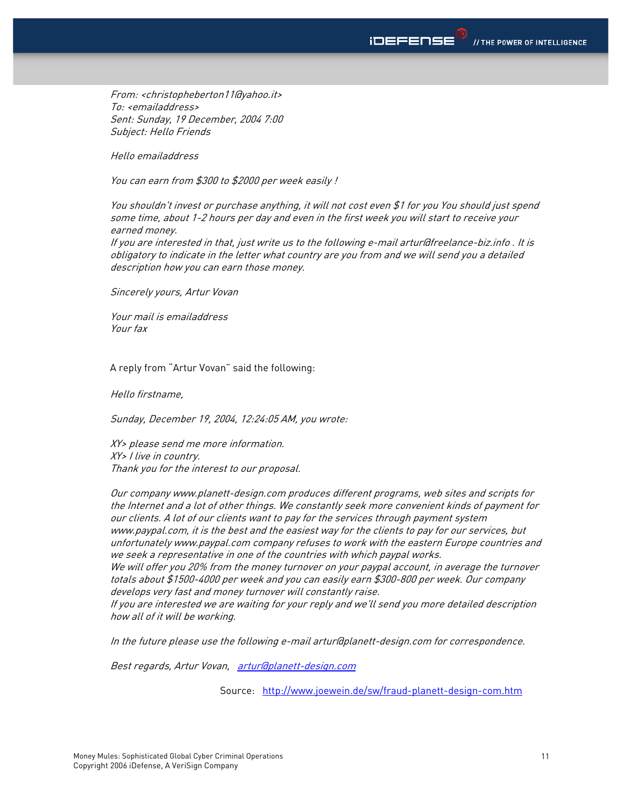From: <christopheberton11@yahoo.it> To: <emailaddress> Sent: Sunday, 19 December, 2004 7:00 Subject: Hello Friends

Hello emailaddress

You can earn from \$300 to \$2000 per week easily !

You shouldn't invest or purchase anything, it will not cost even \$1 for you You should just spend some time, about 1-2 hours per day and even in the first week you will start to receive your earned money.

If you are interested in that, just write us to the following e-mail artur@freelance-biz.info . It is obligatory to indicate in the letter what country are you from and we will send you a detailed description how you can earn those money.

Sincerely yours, Artur Vovan

Your mail is emailaddress Your fax

A reply from "Artur Vovan" said the following:

Hello firstname,

Sunday, December 19, 2004, 12:24:05 AM, you wrote:

XY> please send me more information. XY> I live in country. Thank you for the interest to our proposal.

Our company www.planett-design.com produces different programs, web sites and scripts for the Internet and a lot of other things. We constantly seek more convenient kinds of payment for our clients. A lot of our clients want to pay for the services through payment system www.paypal.com, it is the best and the easiest way for the clients to pay for our services, but unfortunately www.paypal.com company refuses to work with the eastern Europe countries and we seek a representative in one of the countries with which paypal works. We will offer you 20% from the money turnover on your paypal account, in average the turnover totals about \$1500-4000 per week and you can easily earn \$300-800 per week. Our company develops very fast and money turnover will constantly raise.

If you are interested we are waiting for your reply and we'll send you more detailed description how all of it will be working.

In the future please use the following e-mail artur@planett-design.com for correspondence.

Best regards, Artur Vovan, artur@planett-design.com

Source: http://www.joewein.de/sw/fraud-planett-design-com.htm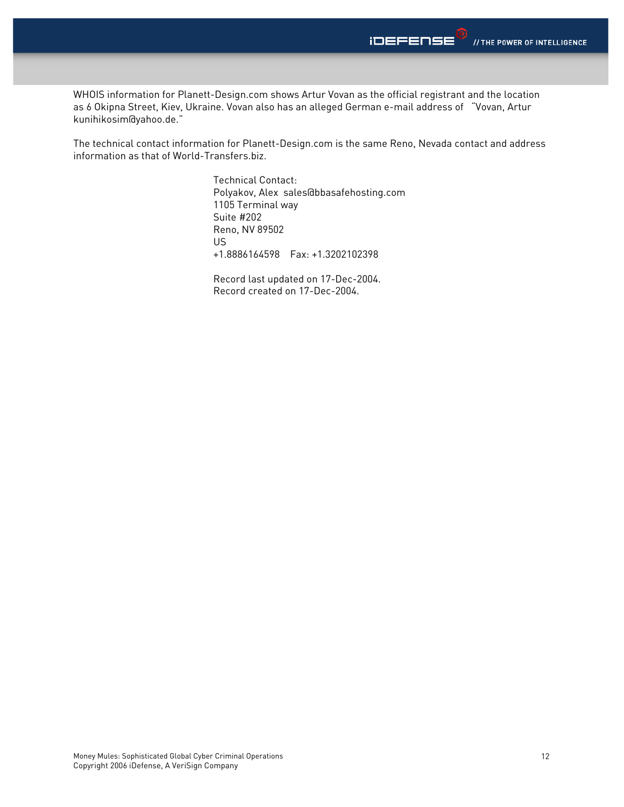WHOIS information for Planett-Design.com shows Artur Vovan as the official registrant and the location as 6 Okipna Street, Kiev, Ukraine. Vovan also has an alleged German e-mail address of "Vovan, Artur kunihikosim@yahoo.de."

The technical contact information for Planett-Design.com is the same Reno, Nevada contact and address information as that of World-Transfers.biz.

> Technical Contact: Polyakov, Alex sales@bbasafehosting.com 1105 Terminal way Suite #202 Reno, NV 89502 US +1.8886164598 Fax: +1.3202102398

 Record last updated on 17-Dec-2004. Record created on 17-Dec-2004.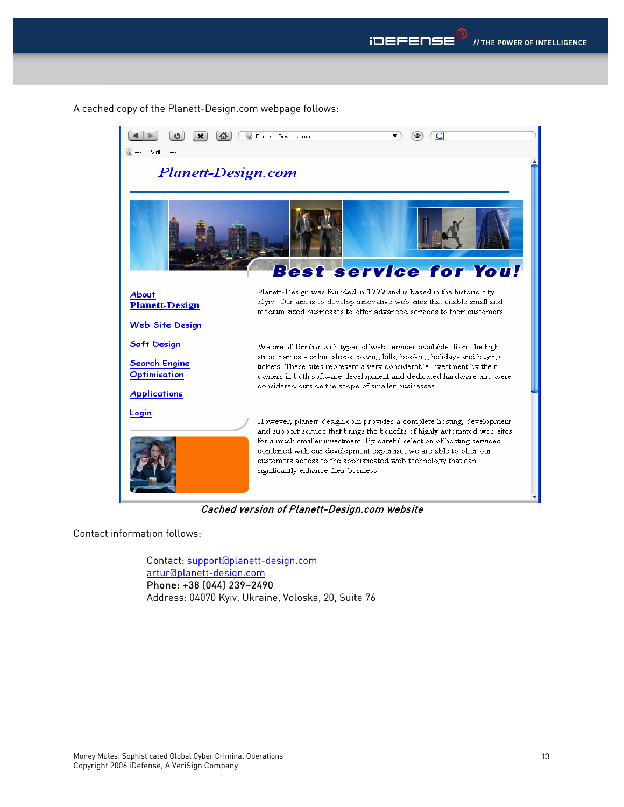

A cached copy of the Planett-Design.com webpage follows:



Cached version of Planett-Design.com website

Contact information follows:

Contact: support@planett-design.com artur@planett-design.com Phone: +38 (044) 239–2490 Address: 04070 Kyiv, Ukraine, Voloska, 20, Suite 76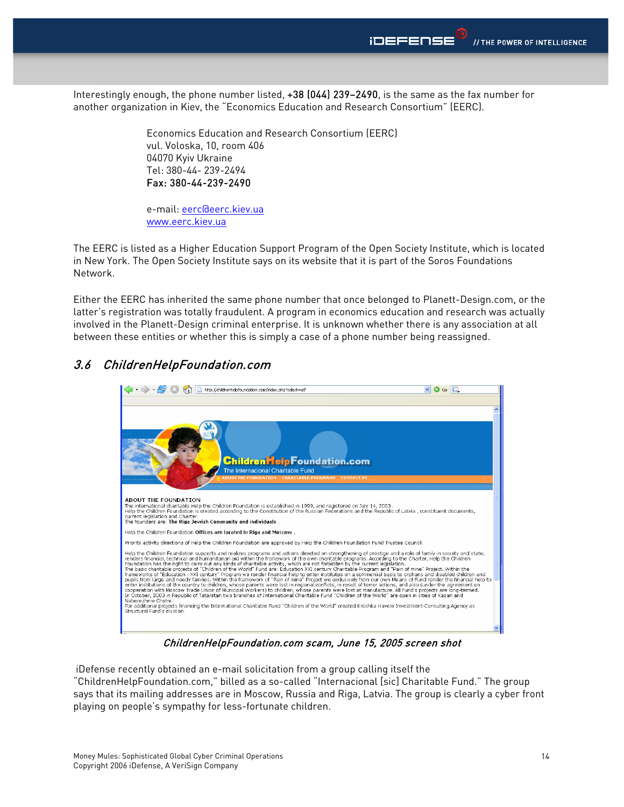Interestingly enough, the phone number listed, +38 (044) 239–2490, is the same as the fax number for another organization in Kiev, the "Economics Education and Research Consortium" (EERC).

> Economics Education and Research Consortium (EERC) vul. Voloska, 10, room 406 04070 Kyiv Ukraine Tel: 380-44- 239-2494 Fax: 380-44-239-2490

e-mail: eerc@eerc.kiev.ua www.eerc.kiev.ua

The EERC is listed as a Higher Education Support Program of the Open Society Institute, which is located in New York. The Open Society Institute says on its website that it is part of the Soros Foundations Network.

Either the EERC has inherited the same phone number that once belonged to Planett-Design.com, or the latter's registration was totally fraudulent. A program in economics education and research was actually involved in the Planett-Design criminal enterprise. It is unknown whether there is any association at all between these entities or whether this is simply a case of a phone number being reassigned.

### 3.6 ChildrenHelpFoundation.com



ChildrenHelpFoundation.com scam, June 15, 2005 screen shot

 iDefense recently obtained an e-mail solicitation from a group calling itself the "ChildrenHelpFoundation.com," billed as a so-called "Internacional [sic] Charitable Fund." The group says that its mailing addresses are in Moscow, Russia and Riga, Latvia. The group is clearly a cyber front playing on people's sympathy for less-fortunate children.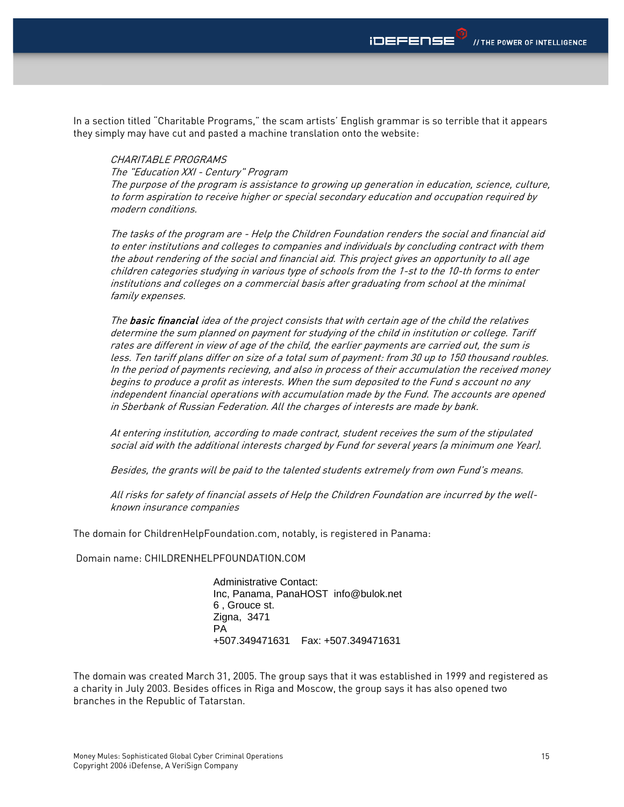In a section titled "Charitable Programs," the scam artists' English grammar is so terrible that it appears they simply may have cut and pasted a machine translation onto the website:

#### CHARITABI F PROGRAMS

The "Education XXI - Century" Program

The purpose of the program is assistance to growing up generation in education, science, culture, to form aspiration to receive higher or special secondary education and occupation required by modern conditions.

The tasks of the program are - Help the Children Foundation renders the social and financial aid to enter institutions and colleges to companies and individuals by concluding contract with them the about rendering of the social and financial aid. This project gives an opportunity to all age children categories studying in various type of schools from the 1-st to the 10-th forms to enter institutions and colleges on a commercial basis after graduating from school at the minimal family expenses.

The **basic financial** idea of the project consists that with certain age of the child the relatives determine the sum planned on payment for studying of the child in institution or college. Tariff rates are different in view of age of the child, the earlier payments are carried out, the sum is less. Ten tariff plans differ on size of a total sum of payment: from 30 up to 150 thousand roubles. In the period of payments recieving, and also in process of their accumulation the received money begins to produce a profit as interests. When the sum deposited to the Fund s account no any independent financial operations with accumulation made by the Fund. The accounts are opened in Sberbank of Russian Federation. All the charges of interests are made by bank.

At entering institution, according to made contract, student receives the sum of the stipulated social aid with the additional interests charged by Fund for several years (a minimum one Year).

Besides, the grants will be paid to the talented students extremely from own Fund's means.

All risks for safety of financial assets of Help the Children Foundation are incurred by the wellknown insurance companies

The domain for ChildrenHelpFoundation.com, notably, is registered in Panama:

Domain name: CHILDRENHELPFOUNDATION.COM

 Administrative Contact: Inc, Panama, PanaHOST info@bulok.net 6 , Grouce st. Zigna, 3471 **PA** PA +507.349471631 Fax: +507.349471631

The domain was created March 31, 2005. The group says that it was established in 1999 and registered as a charity in July 2003. Besides offices in Riga and Moscow, the group says it has also opened two branches in the Republic of Tatarstan.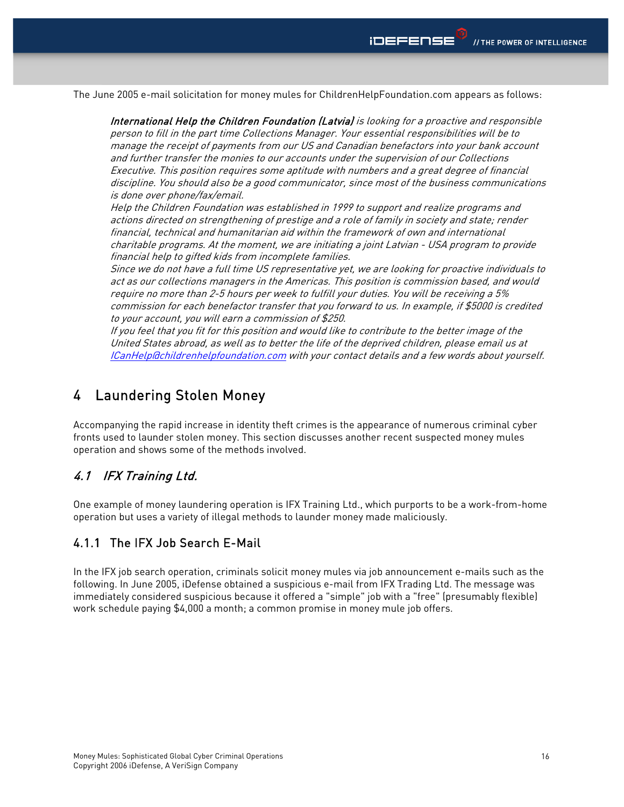The June 2005 e-mail solicitation for money mules for ChildrenHelpFoundation.com appears as follows:

International Help the Children Foundation (Latvia) is looking for a proactive and responsible person to fill in the part time Collections Manager. Your essential responsibilities will be to manage the receipt of payments from our US and Canadian benefactors into your bank account and further transfer the monies to our accounts under the supervision of our Collections Executive. This position requires some aptitude with numbers and a great degree of financial discipline. You should also be a good communicator, since most of the business communications is done over phone/fax/email.

Help the Children Foundation was established in 1999 to support and realize programs and actions directed on strengthening of prestige and a role of family in society and state; render financial, technical and humanitarian aid within the framework of own and international charitable programs. At the moment, we are initiating a joint Latvian - USA program to provide financial help to gifted kids from incomplete families.

Since we do not have a full time US representative yet, we are looking for proactive individuals to act as our collections managers in the Americas. This position is commission based, and would require no more than 2-5 hours per week to fulfill your duties. You will be receiving a 5% commission for each benefactor transfer that you forward to us. In example, if \$5000 is credited to your account, you will earn a commission of \$250.

If you feel that you fit for this position and would like to contribute to the better image of the United States abroad, as well as to better the life of the deprived children, please email us at ICanHelp@childrenhelpfoundation.com with your contact details and a few words about yourself.

## 4 Laundering Stolen Money

Accompanying the rapid increase in identity theft crimes is the appearance of numerous criminal cyber fronts used to launder stolen money. This section discusses another recent suspected money mules operation and shows some of the methods involved.

### 4.1 IFX Training Ltd.

One example of money laundering operation is IFX Training Ltd., which purports to be a work-from-home operation but uses a variety of illegal methods to launder money made maliciously.

#### 4.1.1 The IFX Job Search E-Mail

In the IFX job search operation, criminals solicit money mules via job announcement e-mails such as the following. In June 2005, iDefense obtained a suspicious e-mail from IFX Trading Ltd. The message was immediately considered suspicious because it offered a "simple" job with a "free" (presumably flexible) work schedule paying \$4,000 a month; a common promise in money mule job offers.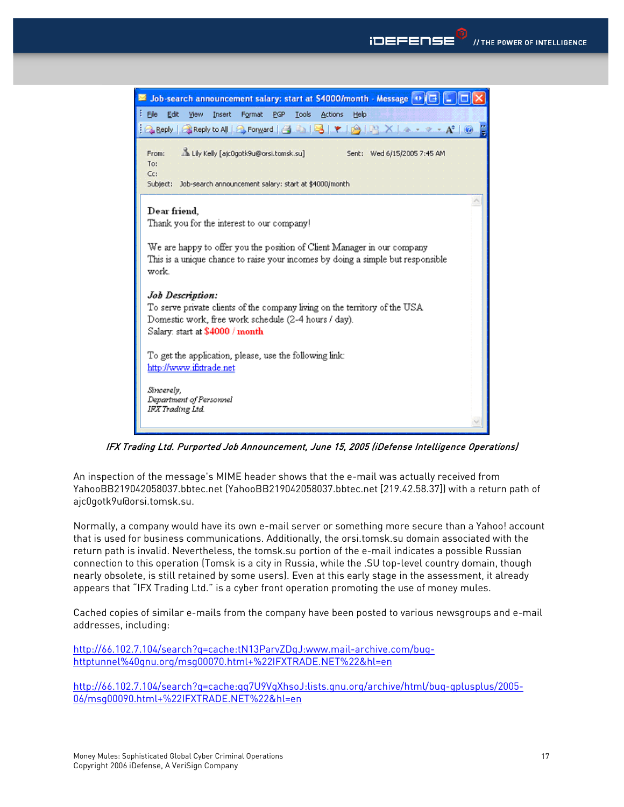

IFX Trading Ltd. Purported Job Announcement, June 15, 2005 (iDefense Intelligence Operations)

An inspection of the message's MIME header shows that the e-mail was actually received from YahooBB219042058037.bbtec.net (YahooBB219042058037.bbtec.net [219.42.58.37]) with a return path of ajc0gotk9u@orsi.tomsk.su.

Normally, a company would have its own e-mail server or something more secure than a Yahoo! account that is used for business communications. Additionally, the orsi.tomsk.su domain associated with the return path is invalid. Nevertheless, the tomsk.su portion of the e-mail indicates a possible Russian connection to this operation (Tomsk is a city in Russia, while the .SU top-level country domain, though nearly obsolete, is still retained by some users). Even at this early stage in the assessment, it already appears that "IFX Trading Ltd." is a cyber front operation promoting the use of money mules.

Cached copies of similar e-mails from the company have been posted to various newsgroups and e-mail addresses, including:

http://66.102.7.104/search?q=cache:tN13ParvZDgJ:www.mail-archive.com/bughttptunnel%40gnu.org/msg00070.html+%22IFXTRADE.NET%22&hl=en

http://66.102.7.104/search?q=cache:qg7U9VgXhsoJ:lists.gnu.org/archive/html/bug-gplusplus/2005- 06/msg00090.html+%22IFXTRADE.NET%22&hl=en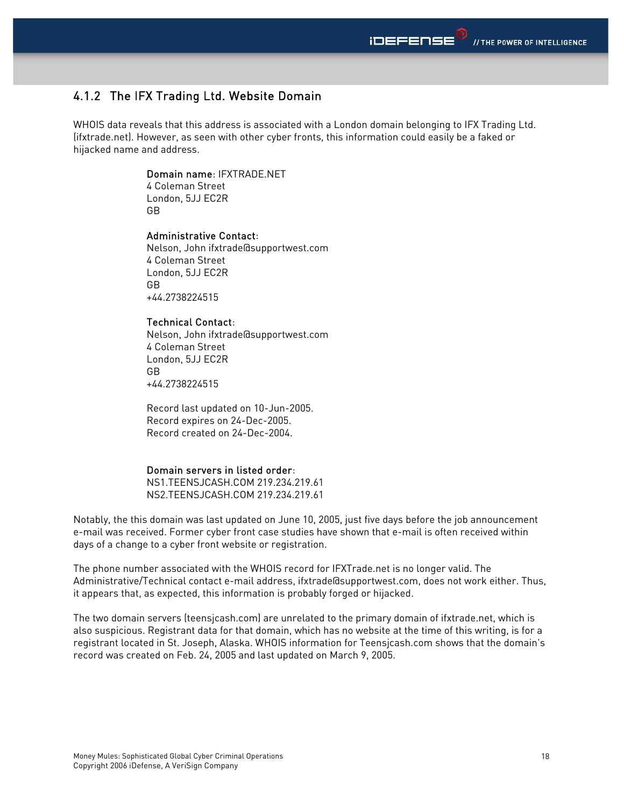### 4.1.2 The IFX Trading Ltd. Website Domain

WHOIS data reveals that this address is associated with a London domain belonging to IFX Trading Ltd. (ifxtrade.net). However, as seen with other cyber fronts, this information could easily be a faked or hijacked name and address.

#### Domain name: IFXTRADE.NET

4 Coleman Street London, 5JJ EC2R GB

#### Administrative Contact:

Nelson, John ifxtrade@supportwest.com 4 Coleman Street London, 5JJ EC2R GB +44.2738224515

#### Technical Contact:

Nelson, John ifxtrade@supportwest.com 4 Coleman Street London, 5JJ EC2R GB +44.2738224515

 Record last updated on 10-Jun-2005. Record expires on 24-Dec-2005. Record created on 24-Dec-2004.

#### Domain servers in listed order:

 NS1.TEENSJCASH.COM 219.234.219.61 NS2.TEENSJCASH.COM 219.234.219.61

Notably, the this domain was last updated on June 10, 2005, just five days before the job announcement e-mail was received. Former cyber front case studies have shown that e-mail is often received within days of a change to a cyber front website or registration.

The phone number associated with the WHOIS record for IFXTrade.net is no longer valid. The Administrative/Technical contact e-mail address, ifxtrade@supportwest.com, does not work either. Thus, it appears that, as expected, this information is probably forged or hijacked.

The two domain servers (teensjcash.com) are unrelated to the primary domain of ifxtrade.net, which is also suspicious. Registrant data for that domain, which has no website at the time of this writing, is for a registrant located in St. Joseph, Alaska. WHOIS information for Teensjcash.com shows that the domain's record was created on Feb. 24, 2005 and last updated on March 9, 2005.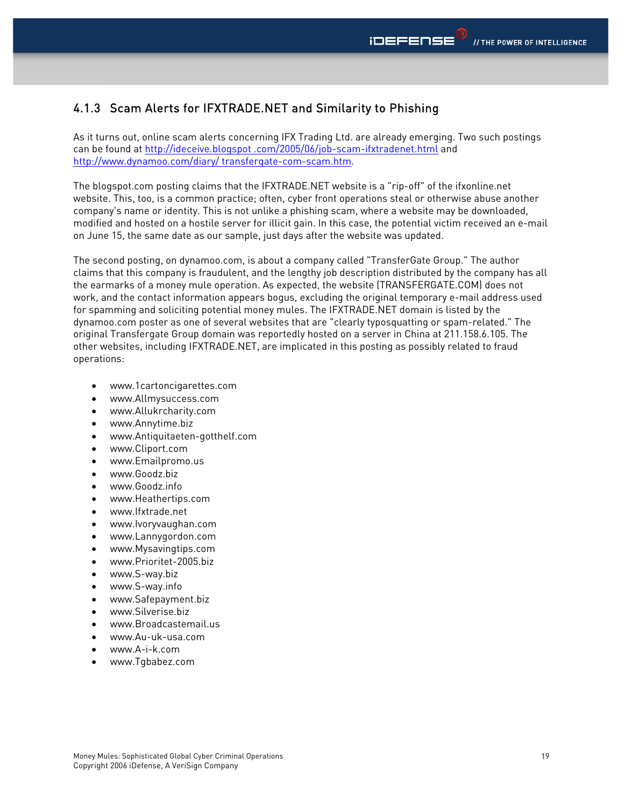### 4.1.3 Scam Alerts for IFXTRADE.NET and Similarity to Phishing

As it turns out, online scam alerts concerning IFX Trading Ltd. are already emerging. Two such postings can be found at http://ideceive.blogspot .com/2005/06/job-scam-ifxtradenet.html and http://www.dynamoo.com/diary/ transfergate-com-scam.htm.

The blogspot.com posting claims that the IFXTRADE.NET website is a "rip-off" of the ifxonline.net website. This, too, is a common practice; often, cyber front operations steal or otherwise abuse another company's name or identity. This is not unlike a phishing scam, where a website may be downloaded, modified and hosted on a hostile server for illicit gain. In this case, the potential victim received an e-mail on June 15, the same date as our sample, just days after the website was updated.

The second posting, on dynamoo.com, is about a company called "TransferGate Group." The author claims that this company is fraudulent, and the lengthy job description distributed by the company has all the earmarks of a money mule operation. As expected, the website (TRANSFERGATE.COM) does not work, and the contact information appears bogus, excluding the original temporary e-mail address used for spamming and soliciting potential money mules. The IFXTRADE.NET domain is listed by the dynamoo.com poster as one of several websites that are "clearly typosquatting or spam-related." The original Transfergate Group domain was reportedly hosted on a server in China at 211.158.6.105. The other websites, including IFXTRADE.NET, are implicated in this posting as possibly related to fraud operations:

- www.1cartoncigarettes.com
- www.Allmysuccess.com
- www.Allukrcharity.com
- www.Annytime.biz
- www.Antiquitaeten-gotthelf.com
- www.Cliport.com
- www.Emailpromo.us
- www.Goodz.biz
- www.Goodz.info
- www.Heathertips.com
- www.Ifxtrade.net
- www.Ivoryvaughan.com
- www.Lannygordon.com
- www.Mysavingtips.com
- www.Prioritet-2005.biz
- www.S-way.biz
- www.S-way.info
- www.Safepayment.biz
- www.Silverise.biz
- www.Broadcastemail.us
- www.Au-uk-usa.com
- www.A-i-k.com
- www.Tgbabez.com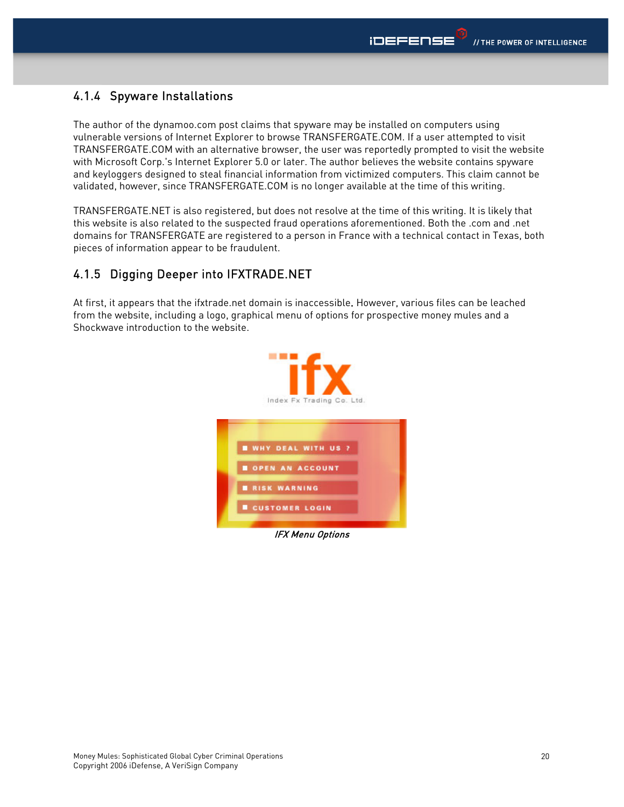### 4.1.4 Spyware Installations

The author of the dynamoo.com post claims that spyware may be installed on computers using vulnerable versions of Internet Explorer to browse TRANSFERGATE.COM. If a user attempted to visit TRANSFERGATE.COM with an alternative browser, the user was reportedly prompted to visit the website with Microsoft Corp.'s Internet Explorer 5.0 or later. The author believes the website contains spyware and keyloggers designed to steal financial information from victimized computers. This claim cannot be validated, however, since TRANSFERGATE.COM is no longer available at the time of this writing.

TRANSFERGATE.NET is also registered, but does not resolve at the time of this writing. It is likely that this website is also related to the suspected fraud operations aforementioned. Both the .com and .net domains for TRANSFERGATE are registered to a person in France with a technical contact in Texas, both pieces of information appear to be fraudulent.

### 4.1.5 Digging Deeper into IFXTRADE.NET

At first, it appears that the ifxtrade.net domain is inaccessible. However, various files can be leached from the website, including a logo, graphical menu of options for prospective money mules and a Shockwave introduction to the website.

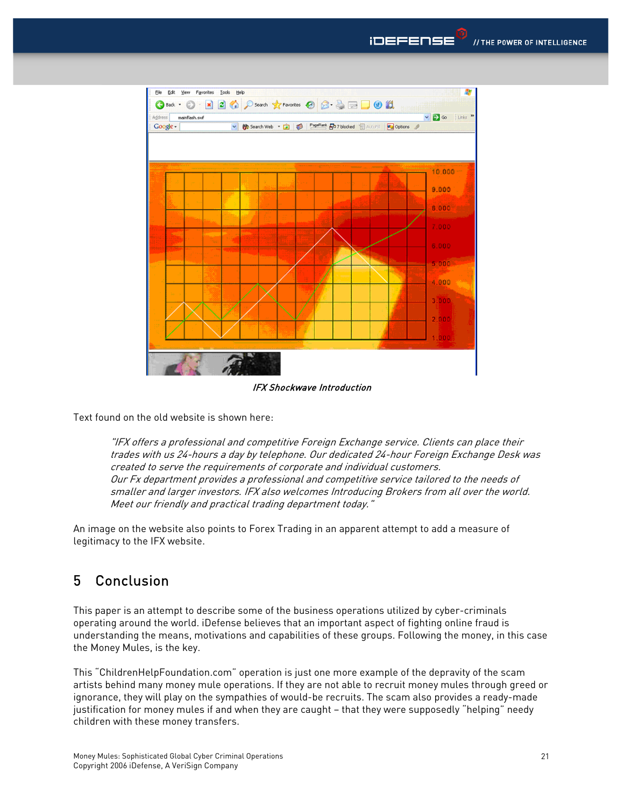

IFX Shockwave Introduction

Text found on the old website is shown here:

"IFX offers a professional and competitive Foreign Exchange service. Clients can place their trades with us 24-hours a day by telephone. Our dedicated 24-hour Foreign Exchange Desk was created to serve the requirements of corporate and individual customers. Our Fx department provides a professional and competitive service tailored to the needs of smaller and larger investors. IFX also welcomes Introducing Brokers from all over the world. Meet our friendly and practical trading department today."

An image on the website also points to Forex Trading in an apparent attempt to add a measure of legitimacy to the IFX website.

## 5 Conclusion

This paper is an attempt to describe some of the business operations utilized by cyber-criminals operating around the world. iDefense believes that an important aspect of fighting online fraud is understanding the means, motivations and capabilities of these groups. Following the money, in this case the Money Mules, is the key.

This "ChildrenHelpFoundation.com" operation is just one more example of the depravity of the scam artists behind many money mule operations. If they are not able to recruit money mules through greed or ignorance, they will play on the sympathies of would-be recruits. The scam also provides a ready-made justification for money mules if and when they are caught – that they were supposedly "helping" needy children with these money transfers.